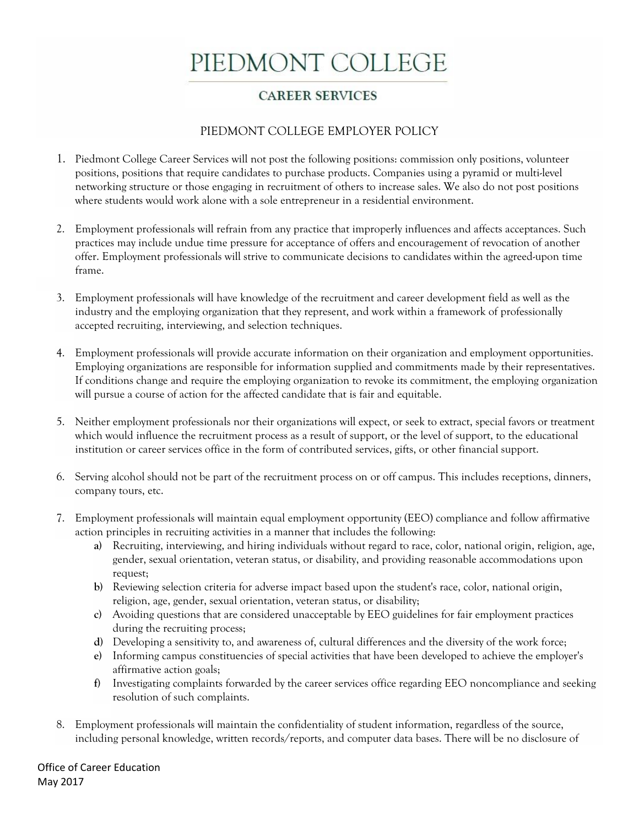## PIEDMONT COLLEGE

## **CAREER SERVICES**

## PIEDMONT COLLEGE EMPLOYER POLICY

- 1. Piedmont College Career Services will not post the following positions: commission only positions, volunteer positions, positions that require candidates to purchase products. Companies using a pyramid or multi-level networking structure or those engaging in recruitment of others to increase sales. We also do not post positions where students would work alone with a sole entrepreneur in a residential environment.
- 2. Employment professionals will refrain from any practice that improperly influences and affects acceptances. Such practices may include undue time pressure for acceptance of offers and encouragement of revocation of another offer. Employment professionals will strive to communicate decisions to candidates within the agreed-upon time frame.
- 3. Employment professionals will have knowledge of the recruitment and career development field as well as the industry and the employing organization that they represent, and work within a framework of professionally accepted recruiting, interviewing, and selection techniques.
- 4. Employment professionals will provide accurate information on their organization and employment opportunities. Employing organizations are responsible for information supplied and commitments made by their representatives. If conditions change and require the employing organization to revoke its commitment, the employing organization will pursue a course of action for the affected candidate that is fair and equitable.
- 5. Neither employment professionals nor their organizations will expect, or seek to extract, special favors or treatment which would influence the recruitment process as a result of support, or the level of support, to the educational institution or career services office in the form of contributed services, gifts, or other financial support.
- 6. Serving alcohol should not be part of the recruitment process on or off campus. This includes receptions, dinners, company tours, etc.
- 7. Employment professionals will maintain equal employment opportunity (EEO) compliance and follow affirmative action principles in recruiting activities in a manner that includes the following:
	- **a)** Recruiting, interviewing, and hiring individuals without regard to race, color, national origin, religion, age, gender, sexual orientation, veteran status, or disability, and providing reasonable accommodations upon request;
	- **b)** Reviewing selection criteria for adverse impact based upon the student's race, color, national origin, religion, age, gender, sexual orientation, veteran status, or disability;
	- **c)** Avoiding questions that are considered unacceptable by EEO guidelines for fair employment practices during the recruiting process;
	- **d)** Developing a sensitivity to, and awareness of, cultural differences and the diversity of the work force;
	- **e)** Informing campus constituencies of special activities that have been developed to achieve the employer's affirmative action goals;
	- **f)** Investigating complaints forwarded by the career services office regarding EEO noncompliance and seeking resolution of such complaints.
- 8. Employment professionals will maintain the confidentiality of student information, regardless of the source, including personal knowledge, written records/reports, and computer data bases. There will be no disclosure of